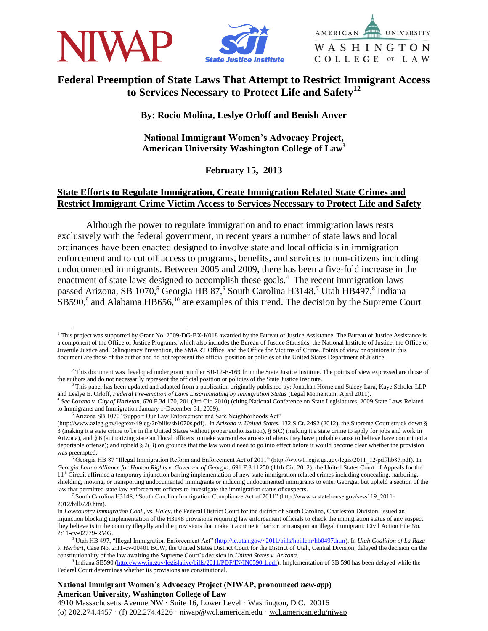

 $\overline{a}$ 





# **Federal Preemption of State Laws That Attempt to Restrict Immigrant Access to Services Necessary to Protect Life and Safety<sup>12</sup>**

**By: Rocio Molina, Leslye Orloff and Benish Anver**

**National Immigrant Women's Advocacy Project, American University Washington College of Law<sup>3</sup>**

# **February 15, 2013**

# **State Efforts to Regulate Immigration, Create Immigration Related State Crimes and Restrict Immigrant Crime Victim Access to Services Necessary to Protect Life and Safety**

Although the power to regulate immigration and to enact immigration laws rests exclusively with the federal government, in recent years a number of state laws and local ordinances have been enacted designed to involve state and local officials in immigration enforcement and to cut off access to programs, benefits, and services to non-citizens including undocumented immigrants. Between 2005 and 2009, there has been a five-fold increase in the enactment of state laws designed to accomplish these goals.<sup>4</sup> The recent immigration laws passed Arizona, SB 1070,<sup>5</sup> Georgia HB 87,<sup>6</sup> South Carolina H3148,<sup>7</sup> Utah HB497,<sup>8</sup> Indiana  $SB590$ ,<sup>9</sup> and Alabama HB656,<sup>10</sup> are examples of this trend. The decision by the Supreme Court

<sup>&</sup>lt;sup>1</sup> This project was supported by Grant No. 2009‐DG‐BX‐K018 awarded by the Bureau of Justice Assistance. The Bureau of Justice Assistance is a component of the Office of Justice Programs, which also includes the Bureau of Justice Statistics, the National Institute of Justice, the Office of Juvenile Justice and Delinquency Prevention, the SMART Office, and the Office for Victims of Crime. Points of view or opinions in this document are those of the author and do not represent the official position or policies of the United States Department of Justice.

 $2$  This document was developed under grant number SJI-12-E-169 from the State Justice Institute. The points of view expressed are those of the authors and do not necessarily represent the official position or policies of the State Justice Institute.

<sup>&</sup>lt;sup>3</sup> This paper has been updated and adapted from a publication originally published by: Jonathan Horne and Stacey Lara, Kaye Scholer LLP and Leslye E. Orloff, *Federal Pre-emption of Laws Discriminating by Immigration Status* (Legal Momentum: April 2011). 4 *See Lozano v. City of Hazleton*, 620 F.3d 170, 201 (3rd Cir. 2010) (citing National Conference on State Legislatures, 2009 State Laws Related to Immigrants and Immigration January 1-December 31, 2009).

Arizona SB 1070 "Support Our Law Enforcement and Safe Neighborhoods Act"

<sup>(</sup>http://www.azleg.gov/legtext/49leg/2r/bills/sb1070s.pdf). In *Arizona v. United States*, 132 S.Ct. 2492 (2012), the Supreme Court struck down § 3 (making it a state crime to be in the United States without proper authorization), § 5(C) (making it a state crime to apply for jobs and work in Arizona), and § 6 (authorizing state and local officers to make warrantless arrests of aliens they have probable cause to believe have committed a deportable offense); and upheld § 2(B) on grounds that the law would need to go into effect before it would become clear whether the provision was preempted.

<sup>6</sup> Georgia HB 87 "Illegal Immigration Reform and Enforcement Act of 2011" (http://www1.legis.ga.gov/legis/2011\_12/pdf/hb87.pdf). In *Georgia Latino Alliance for Human Rights v. Governor of Georgia*, 691 F.3d 1250 (11th Cir. 2012), the United States Court of Appeals for the  $11<sup>th</sup>$  Circuit affirmed a temporary injunction barring implementation of new state immigration related crimes including concealing, harboring, shielding, moving, or transporting undocumented immigrants or inducing undocumented immigrants to enter Georgia, but upheld a section of the law that permitted state law enforcement officers to investigate the immigration status of suspects.

<sup>7</sup> South Carolina H3148, "South Carolina Immigration Compliance Act of 2011" (http://www.scstatehouse.gov/sess119\_2011- 2012/bills/20.htm).

In *Lowcountry Immigration Coal., vs. Haley*, the Federal District Court for the district of South Carolina, Charleston Division, issued an injunction blocking implementation of the H3148 provisions requiring law enforcement officials to check the immigration status of any suspect they believe is in the country illegally and the provisions that make it a crime to harbor or transport an illegal immigrant. Civil Action File No. 2:11-cv-02779-RMG.

<sup>8</sup> Utah HB 497, "Illegal Immigration Enforcement Act" [\(http://le.utah.gov/~2011/bills/hbillenr/hb0497.htm\)](http://le.utah.gov/~2011/bills/hbillenr/hb0497.htm). In *Utah Coalition of La Raza v. Herbert*, Case No. 2:11-cv-00401 BCW, the United States District Court for the District of Utah, Central Division, delayed the decision on the constitutionality of the law awaiting the Supreme Court's decision in *United States v. Arizona*.

<sup>&</sup>lt;sup>9</sup> Indiana SB590 [\(http://www.in.gov/legislative/bills/2011/PDF/IN/IN0590.1.pdf\)](http://www.in.gov/legislative/bills/2011/PDF/IN/IN0590.1.pdf). Implementation of SB 590 has been delayed while the Federal Court determines whether its provisions are constitutional.

**National Immigrant Women's Advocacy Project (NIWAP, pronounced** *new-app***) American University, Washington College of Law**

<sup>4910</sup> Massachusetts Avenue NW · Suite 16, Lower Level · Washington, D.C. 20016 (o) 202.274.4457 · (f) 202.274.4226 · niwap@wcl.american.edu · wcl.american.edu/niwap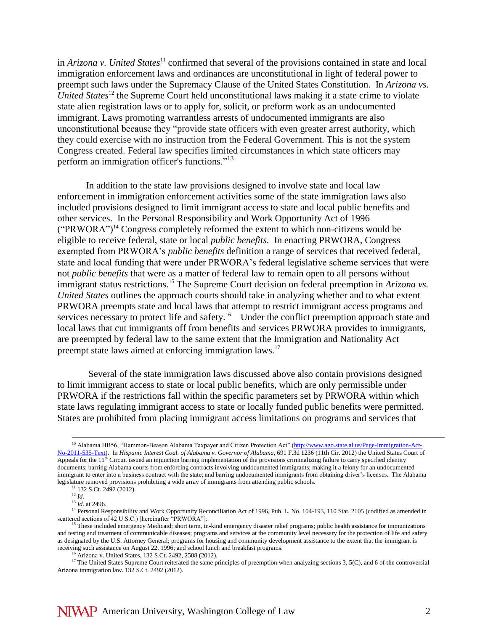in *Arizona v. United States*<sup>11</sup> confirmed that several of the provisions contained in state and local immigration enforcement laws and ordinances are unconstitutional in light of federal power to preempt such laws under the Supremacy Clause of the United States Constitution. In *Arizona vs. United States*<sup>12</sup> the Supreme Court held unconstitutional laws making it a state crime to violate state alien registration laws or to apply for, solicit, or preform work as an undocumented immigrant. Laws promoting warrantless arrests of undocumented immigrants are also unconstitutional because they "provide state officers with even greater arrest authority, which they could exercise with no instruction from the Federal Government. This is not the system Congress created. Federal law specifies limited circumstances in which state officers may perform an immigration officer's functions."<sup>13</sup>

In addition to the state law provisions designed to involve state and local law enforcement in immigration enforcement activities some of the state immigration laws also included provisions designed to limit immigrant access to state and local public benefits and other services. In the Personal Responsibility and Work Opportunity Act of 1996  $("PRWORA")<sup>14</sup> Congress completely reformed the extent to which non-citizers would be$ eligible to receive federal, state or local *public benefits.* In enacting PRWORA, Congress exempted from PRWORA's *public benefits* definition a range of services that received federal, state and local funding that were under PRWORA's federal legislative scheme services that were not *public benefits* that were as a matter of federal law to remain open to all persons without immigrant status restrictions.<sup>15</sup> The Supreme Court decision on federal preemption in *Arizona vs. United States* outlines the approach courts should take in analyzing whether and to what extent PRWORA preempts state and local laws that attempt to restrict immigrant access programs and services necessary to protect life and safety.<sup>16</sup> Under the conflict preemption approach state and local laws that cut immigrants off from benefits and services PRWORA provides to immigrants, are preempted by federal law to the same extent that the Immigration and Nationality Act preempt state laws aimed at enforcing immigration laws.<sup>17</sup>

Several of the state immigration laws discussed above also contain provisions designed to limit immigrant access to state or local public benefits, which are only permissible under PRWORA if the restrictions fall within the specific parameters set by PRWORA within which state laws regulating immigrant access to state or locally funded public benefits were permitted. States are prohibited from placing immigrant access limitations on programs and services that

<sup>&</sup>lt;sup>10</sup> Alabama HB56, "Hammon-Beason Alabama Taxpayer and Citizen Protection Act" [\(http://www.ago.state.al.us/Page-Immigration-Act-](http://www.ago.state.al.us/Page-Immigration-Act-No-2011-535-Text)[No-2011-535-Text\)](http://www.ago.state.al.us/Page-Immigration-Act-No-2011-535-Text). In *Hispanic Interest Coal. of Alabama v. Governor of Alabama*, 691 F.3d 1236 (11th Cir. 2012) the United States Court of Appeals for the 11<sup>th</sup> Circuit issued an injunction barring implementation of the provisions criminalizing failure to carry specified identity documents; barring Alabama courts from enforcing contracts involving undocumented immigrants; making it a felony for an undocumented immigrant to enter into a business contract with the state; and barring undocumented immigrants from obtaining driver's licenses. The Alabama legislature removed provisions prohibiting a wide array of immigrants from attending public schools.

<sup>&</sup>lt;sup>11</sup> 132 S.Ct. 2492 (2012).

<sup>12</sup> *Id.*

<sup>13</sup> *Id.* at 2496.

<sup>&</sup>lt;sup>14</sup> Personal Responsibility and Work Opportunity Reconciliation Act of 1996, Pub. L. No. 104-193, 110 Stat. 2105 (codified as amended in scattered sections of 42 U.S.C.) [hereinafter "PRWORA"].

<sup>15</sup> These included emergency Medicaid; short term, in-kind emergency disaster relief programs; public health assistance for immunizations and testing and treatment of communicable diseases; programs and services at the community level necessary for the protection of life and safety as designated by the U.S. Attorney General; programs for housing and community development assistance to the extent that the immigrant is receiving such assistance on August 22, 1996; and school lunch and breakfast programs.

Arizona v. United States, 132 S.Ct. 2492, 2508 (2012).

<sup>&</sup>lt;sup>17</sup> The United States Supreme Court reiterated the same principles of preemption when analyzing sections 3, 5(C), and 6 of the controversial Arizona immigration law. 132 S.Ct. 2492 (2012).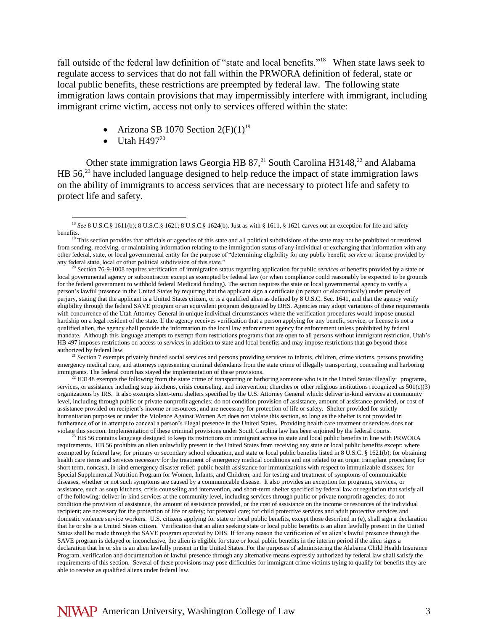fall outside of the federal law definition of "state and local benefits."<sup>18</sup> When state laws seek to regulate access to services that do not fall within the PRWORA definition of federal, state or local public benefits, these restrictions are preempted by federal law. The following state immigration laws contain provisions that may impermissibly interfere with immigrant, including immigrant crime victim, access not only to services offered within the state:

- Arizona SB 1070 Section  $2(F)(1)^{19}$
- Utah H $497^{20}$

 $\overline{a}$ 

Other state immigration laws Georgia HB  $87$ ,<sup>21</sup> South Carolina H3148,<sup>22</sup> and Alabama HB  $56<sup>23</sup>$  have included language designed to help reduce the impact of state immigration laws on the ability of immigrants to access services that are necessary to protect life and safety to protect life and safety.

<sup>21</sup> Section 7 exempts privately funded social services and persons providing services to infants, children, crime victims, persons providing emergency medical care, and attorneys representing criminal defendants from the state crime of illegally transporting, concealing and harboring immigrants. The federal court has stayed the implementation of these provisions.

<sup>22</sup> H3148 exempts the following from the state crime of transporting or harboring someone who is in the United States illegally: programs, services, or assistance including soup kitchens, crisis counseling, and intervention; churches or other religious institutions recognized as 501(c)(3) organizations by IRS. It also exempts short-term shelters specified by the U.S. Attorney General which: deliver in-kind services at community level, including through public or private nonprofit agencies; do not condition provision of assistance, amount of assistance provided, or cost of assistance provided on recipient's income or resources; and are necessary for protection of life or safety. Shelter provided for strictly humanitarian purposes or under the Violence Against Women Act does not violate this section, so long as the shelter is not provided in furtherance of or in attempt to conceal a person's illegal presence in the United States. Providing health care treatment or services does not violate this section. Implementation of these criminal provisions under South Carolina law has been enjoined by the federal courts.

 $^{23}$  HB 56 contains language designed to keep its restrictions on immigrant access to state and local public benefits in line with PRWORA requirements. HB 56 prohibits an alien unlawfully present in the United States from receiving any state or local public benefits except: where exempted by federal law; for primary or secondary school education, and state or local public benefits listed in 8 U.S.C. § 1621(b); for obtaining health care items and services necessary for the treatment of emergency medical conditions and not related to an organ transplant procedure; for short term, noncash, in kind emergency disaster relief; public health assistance for immunizations with respect to immunizable diseases; for Special Supplemental Nutrition Program for Women, Infants, and Children; and for testing and treatment of symptoms of communicable diseases, whether or not such symptoms are caused by a communicable disease. It also provides an exception for programs, services, or assistance, such as soup kitchens, crisis counseling and intervention, and short-term shelter specified by federal law or regulation that satisfy all of the following: deliver in-kind services at the community level, including services through public or private nonprofit agencies; do not condition the provision of assistance, the amount of assistance provided, or the cost of assistance on the income or resources of the individual recipient; are necessary for the protection of life or safety; for prenatal care; for child protective services and adult protective services and domestic violence service workers. U.S. citizens applying for state or local public benefits, except those described in (e), shall sign a declaration that he or she is a United States citizen. Verification that an alien seeking state or local public benefits is an alien lawfully present in the United States shall be made through the SAVE program operated by DHS. If for any reason the verification of an alien's lawful presence through the SAVE program is delayed or inconclusive, the alien is eligible for state or local public benefits in the interim period if the alien signs a declaration that he or she is an alien lawfully present in the United States. For the purposes of administering the Alabama Child Health Insurance Program, verification and documentation of lawful presence through any alternative means expressly authorized by federal law shall satisfy the requirements of this section. Several of these provisions may pose difficulties for immigrant crime victims trying to qualify for benefits they are able to receive as qualified aliens under federal law.

<sup>&</sup>lt;sup>18</sup> See 8 U.S.C.§ 1611(b); 8 U.S.C.§ 1621; 8 U.S.C.§ 1624(b). Just as with § 1611, § 1621 carves out an exception for life and safety benefits.

<sup>&</sup>lt;sup>19</sup> This section provides that officials or agencies of this state and all political subdivisions of the state may not be prohibited or restricted from sending, receiving, or maintaining information relating to the immigration status of any individual or exchanging that information with any other federal, state, or local governmental entity for the purpose of "determining eligibility for any public benefit, *service* or license provided by any federal state, local or other political subdivision of this state."

<sup>20</sup> Section 76-9-1008 requires verification of immigration status regarding application for public *services* or benefits provided by a state or local governmental agency or subcontractor except as exempted by federal law (or when compliance could reasonably be expected to be grounds for the federal government to withhold federal Medicaid funding). The section requires the state or local governmental agency to verify a person's lawful presence in the United States by requiring that the applicant sign a certificate (in person or electronically) under penalty of perjury, stating that the applicant is a United States citizen, or is a qualified alien as defined by 8 U.S.C. Sec. 1641, and that the agency verify eligibility through the federal SAVE program or an equivalent program designated by DHS. Agencies may adopt variations of these requirements with concurrence of the Utah Attorney General in unique individual circumstances where the verification procedures would impose unusual hardship on a legal resident of the state. If the agency receives verification that a person applying for any benefit, service, or license is not a qualified alien, the agency shall provide the information to the local law enforcement agency for enforcement unless prohibited by federal mandate. Although this language attempts to exempt from restrictions programs that are open to all persons without immigrant restriction, Utah's HB 497 imposes restrictions on access to *services* in addition to state and local benefits and may impose restrictions that go beyond those authorized by federal law.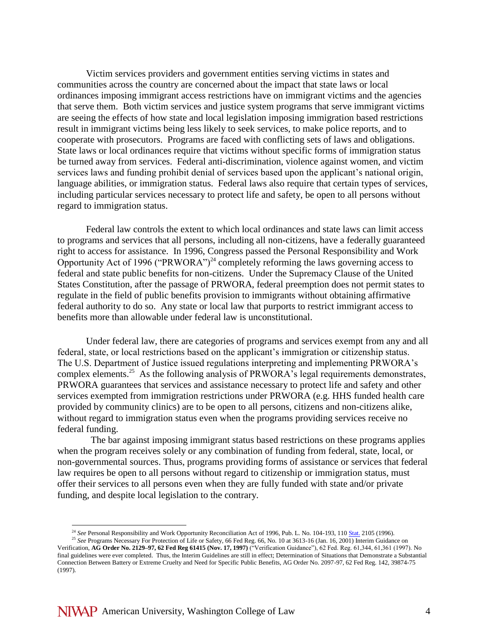Victim services providers and government entities serving victims in states and communities across the country are concerned about the impact that state laws or local ordinances imposing immigrant access restrictions have on immigrant victims and the agencies that serve them. Both victim services and justice system programs that serve immigrant victims are seeing the effects of how state and local legislation imposing immigration based restrictions result in immigrant victims being less likely to seek services, to make police reports, and to cooperate with prosecutors. Programs are faced with conflicting sets of laws and obligations. State laws or local ordinances require that victims without specific forms of immigration status be turned away from services. Federal anti-discrimination, violence against women, and victim services laws and funding prohibit denial of services based upon the applicant's national origin, language abilities, or immigration status. Federal laws also require that certain types of services, including particular services necessary to protect life and safety, be open to all persons without regard to immigration status.

Federal law controls the extent to which local ordinances and state laws can limit access to programs and services that all persons, including all non-citizens, have a federally guaranteed right to access for assistance. In 1996, Congress passed the Personal Responsibility and Work Opportunity Act of 1996 ("PRWORA")<sup>24</sup> completely reforming the laws governing access to federal and state public benefits for non-citizens. Under the Supremacy Clause of the United States Constitution, after the passage of PRWORA, federal preemption does not permit states to regulate in the field of public benefits provision to immigrants without obtaining affirmative federal authority to do so. Any state or local law that purports to restrict immigrant access to benefits more than allowable under federal law is unconstitutional.

Under federal law, there are categories of programs and services exempt from any and all federal, state, or local restrictions based on the applicant's immigration or citizenship status. The U.S. Department of Justice issued regulations interpreting and implementing PRWORA's complex elements.<sup>25</sup> As the following analysis of PRWORA's legal requirements demonstrates, PRWORA guarantees that services and assistance necessary to protect life and safety and other services exempted from immigration restrictions under PRWORA (e.g. HHS funded health care provided by community clinics) are to be open to all persons, citizens and non-citizens alike, without regard to immigration status even when the programs providing services receive no federal funding.

 The bar against imposing immigrant status based restrictions on these programs applies when the program receives solely or any combination of funding from federal, state, local, or non-governmental sources. Thus, programs providing forms of assistance or services that federal law requires be open to all persons without regard to citizenship or immigration status, must offer their services to all persons even when they are fully funded with state and/or private funding, and despite local legislation to the contrary.

<sup>&</sup>lt;sup>24</sup> See Personal Responsibility and Work Opportunity Reconciliation Act of 1996, Pub. L. No. 104-193, 110 [Stat.](http://en.wikipedia.org/wiki/United_States_Statutes_at_Large) 2105 (1996).

<sup>&</sup>lt;sup>25</sup> See Programs Necessary For Protection of Life or Safety, 66 Fed Reg. 66, No. 10 at 3613-16 (Jan. 16, 2001) Interim Guidance on Verification, **AG Order No. 2129–97, 62 Fed Reg 61415 (Nov. 17, 1997)** ("Verification Guidance"), 62 Fed. Reg. 61,344, 61,361 (1997). No final guidelines were ever completed. Thus, the Interim Guidelines are still in effect; Determination of Situations that Demonstrate a Substantial Connection Between Battery or Extreme Cruelty and Need for Specific Public Benefits, AG Order No. 2097-97, 62 Fed Reg. 142, 39874-75 (1997).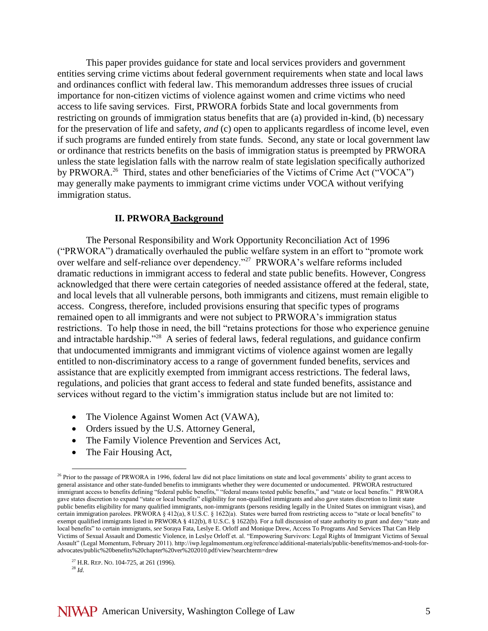This paper provides guidance for state and local services providers and government entities serving crime victims about federal government requirements when state and local laws and ordinances conflict with federal law. This memorandum addresses three issues of crucial importance for non-citizen victims of violence against women and crime victims who need access to life saving services. First, PRWORA forbids State and local governments from restricting on grounds of immigration status benefits that are (a) provided in-kind, (b) necessary for the preservation of life and safety, *and* (c) open to applicants regardless of income level, even if such programs are funded entirely from state funds. Second, any state or local government law or ordinance that restricts benefits on the basis of immigration status is preempted by PRWORA unless the state legislation falls with the narrow realm of state legislation specifically authorized by PRWORA.<sup>26</sup> Third, states and other beneficiaries of the Victims of Crime Act ("VOCA") may generally make payments to immigrant crime victims under VOCA without verifying immigration status.

#### **II. PRWORA Background**

The Personal Responsibility and Work Opportunity Reconciliation Act of 1996 ("PRWORA") dramatically overhauled the public welfare system in an effort to "promote work over welfare and self-reliance over dependency."<sup>27</sup> PRWORA's welfare reforms included dramatic reductions in immigrant access to federal and state public benefits. However, Congress acknowledged that there were certain categories of needed assistance offered at the federal, state, and local levels that all vulnerable persons, both immigrants and citizens, must remain eligible to access. Congress, therefore, included provisions ensuring that specific types of programs remained open to all immigrants and were not subject to PRWORA's immigration status restrictions. To help those in need, the bill "retains protections for those who experience genuine and intractable hardship."<sup>28</sup> A series of federal laws, federal regulations, and guidance confirm that undocumented immigrants and immigrant victims of violence against women are legally entitled to non-discriminatory access to a range of government funded benefits, services and assistance that are explicitly exempted from immigrant access restrictions. The federal laws, regulations, and policies that grant access to federal and state funded benefits, assistance and services without regard to the victim's immigration status include but are not limited to:

- The Violence Against Women Act (VAWA),
- Orders issued by the U.S. Attorney General,
- The Family Violence Prevention and Services Act,
- The Fair Housing Act,

<sup>&</sup>lt;sup>26</sup> Prior to the passage of PRWORA in 1996, federal law did not place limitations on state and local governments' ability to grant access to general assistance and other state-funded benefits to immigrants whether they were documented or undocumented. PRWORA restructured immigrant access to benefits defining "federal public benefits," "federal means tested public benefits," and "state or local benefits." PRWORA gave states discretion to expand "state or local benefits" eligibility for non-qualified immigrants and also gave states discretion to limit state public benefits eligibility for many qualified immigrants, non-immigrants (persons residing legally in the United States on immigrant visas), and certain immigration parolees. PRWORA § 412(a), 8 U.S.C. § 1622(a). States were barred from restricting access to "state or local benefits" to exempt qualified immigrants listed in PRWORA § 412(b), 8 U.S.C. § 1622(b). For a full discussion of state authority to grant and deny "state and local benefits" to certain immigrants, *see* Soraya Fata, Leslye E. Orloff and Monique Drew, Access To Programs And Services That Can Help Victims of Sexual Assault and Domestic Violence, in Leslye Orloff et. al. "Empowering Survivors: Legal Rights of Immigrant Victims of Sexual Assault" (Legal Momentum, February 2011). http://iwp.legalmomentum.org/reference/additional-materials/public-benefits/memos-and-tools-foradvocates/public%20benefits%20chapter%20ver%202010.pdf/view?searchterm=drew

 $27$  H.R. REP. No. 104-725, at 261 (1996).

<sup>28</sup> *Id.*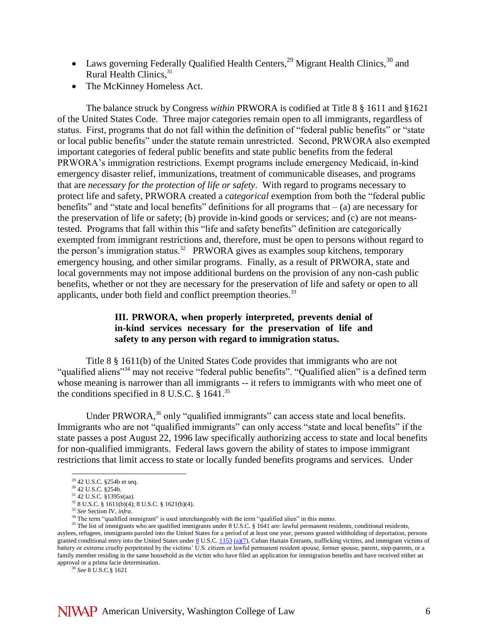- Laws governing Federally Qualified Health Centers,  $^{29}$  Migrant Health Clinics,  $^{30}$  and Rural Health Clinics, 31
- The McKinney Homeless Act.

The balance struck by Congress *within* PRWORA is codified at Title 8 § 1611 and §1621 of the United States Code. Three major categories remain open to all immigrants, regardless of status. First, programs that do not fall within the definition of "federal public benefits" or "state or local public benefits" under the statute remain unrestricted. Second, PRWORA also exempted important categories of federal public benefits and state public benefits from the federal PRWORA's immigration restrictions. Exempt programs include emergency Medicaid, in-kind emergency disaster relief, immunizations, treatment of communicable diseases, and programs that are *necessary for the protection of life or safety*. With regard to programs necessary to protect life and safety, PRWORA created a *categorical* exemption from both the "federal public benefits" and "state and local benefits" definitions for all programs that  $-$  (a) are necessary for the preservation of life or safety; (b) provide in-kind goods or services; and (c) are not meanstested. Programs that fall within this "life and safety benefits" definition are categorically exempted from immigrant restrictions and, therefore, must be open to persons without regard to the person's immigration status.<sup>32</sup> PRWORA gives as examples soup kitchens, temporary emergency housing, and other similar programs. Finally, as a result of PRWORA, state and local governments may not impose additional burdens on the provision of any non-cash public benefits, whether or not they are necessary for the preservation of life and safety or open to all applicants, under both field and conflict preemption theories.<sup>33</sup>

### **III. PRWORA, when properly interpreted, prevents denial of in-kind services necessary for the preservation of life and safety to any person with regard to immigration status.**

Title 8 § 1611(b) of the United States Code provides that immigrants who are not "qualified aliens"<sup>34</sup> may not receive "federal public benefits". "Qualified alien" is a defined term whose meaning is narrower than all immigrants -- it refers to immigrants with who meet one of the conditions specified in 8 U.S.C.  $\S$  1641.<sup>35</sup>

Under PRWORA,<sup>36</sup> only "qualified immigrants" can access state and local benefits. Immigrants who are not "qualified immigrants" can only access "state and local benefits" if the state passes a post August 22, 1996 law specifically authorizing access to state and local benefits for non-qualified immigrants. Federal laws govern the ability of states to impose immigrant restrictions that limit access to state or locally funded benefits programs and services. Under

 $\overline{a}$ 

<sup>36</sup> *See* 8 U.S.C.§ 1621

 $29$  42 U.S.C. §254b et seq.

<sup>30</sup> 42 U.S.C. §254b.

<sup>31</sup> 42 U.S.C. §1395x(aa).  $328$  U.S.C. § 1611(b)(4); 8 U.S.C. § 1621(b)(4).

<sup>33</sup> *See* Section IV, *infra*.

<sup>&</sup>lt;sup>34</sup> The term "qualified immigrant" is used interchangeably with the term "qualified alien" in this memo.

<sup>&</sup>lt;sup>35</sup> The list of immigrants who are qualified immigrants under 8 U.S.C. § 1641 are: lawful permanent residents, conditional residents, asylees, refugees, immigrants paroled into the United States for a period of at least one year, persons granted withholding of deportation, persons granted conditional entry into the United States under  $8$  U.S.C[. 1153](http://www.law.cornell.edu/uscode/html/uscode08/usc_sec_08_00001153----000-.html) [\(a\)\(7\)](http://www.law.cornell.edu/uscode/html/uscode08/usc_sec_08_00001153----000-.html#a_7), Cuban Haitain Entrants, trafficking victims, and immigrant victims of battery or extreme cruelty perpetrated by the victims' U.S. citizen or lawful permanent resident spouse, former spouse, parent, step-parents, or a family member residing in the same household as the victim who have filed an application for immigration benefits and have received either an approval or a prima facie determination.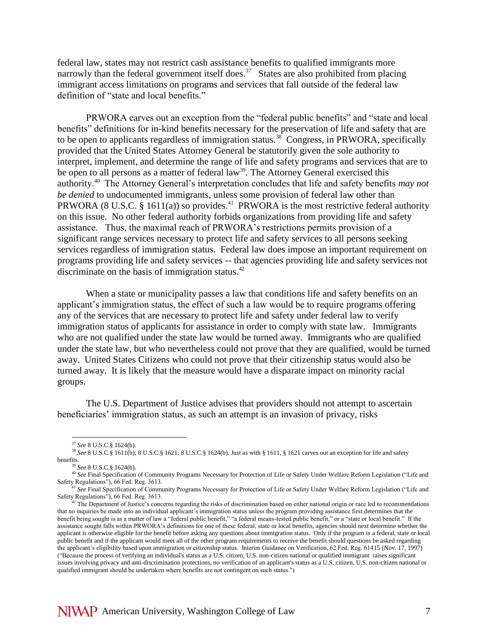federal law, states may not restrict cash assistance benefits to qualified immigrants more narrowly than the federal government itself does.<sup>37</sup> States are also prohibited from placing immigrant access limitations on programs and services that fall outside of the federal law definition of "state and local benefits."

PRWORA carves out an exception from the "federal public benefits" and "state and local benefits" definitions for in-kind benefits necessary for the preservation of life and safety that are to be open to applicants regardless of immigration status.<sup>38</sup> Congress, in PRWORA, specifically provided that the United States Attorney General be statutorily given the sole authority to interpret, implement, and determine the range of life and safety programs and services that are to be open to all persons as a matter of federal law<sup>39</sup>. The Attorney General exercised this authority.<sup>40</sup> The Attorney General's interpretation concludes that life and safety benefits *may not be denied* to undocumented immigrants, unless some provision of federal law other than PRWORA (8 U.S.C. § 1611(a)) so provides.<sup>41</sup> PRWORA is the most restrictive federal authority on this issue. No other federal authority forbids organizations from providing life and safety assistance. Thus, the maximal reach of PRWORA's restrictions permits provision of a significant range services necessary to protect life and safety services to all persons seeking services regardless of immigration status. Federal law does impose an important requirement on programs providing life and safety services -- that agencies providing life and safety services not discriminate on the basis of immigration status. $42$ 

When a state or municipality passes a law that conditions life and safety benefits on an applicant's immigration status, the effect of such a law would be to require programs offering any of the services that are necessary to protect life and safety under federal law to verify immigration status of applicants for assistance in order to comply with state law. Immigrants who are not qualified under the state law would be turned away. Immigrants who are qualified under the state law, but who nevertheless could not prove that they are qualified, would be turned away. United States Citizens who could not prove that their citizenship status would also be turned away. It is likely that the measure would have a disparate impact on minority racial groups.

The U.S. Department of Justice advises that providers should not attempt to ascertain beneficiaries' immigration status, as such an attempt is an invasion of privacy, risks

<sup>37</sup> *See* 8 U.S.C.§ 1624(b).

<sup>38</sup> *See* 8 U.S.C.§ 1611(b); 8 U.S.C.§ 1621; 8 U.S.C.§ 1624(b). Just as with § 1611, § 1621 carves out an exception for life and safety benefits.

<sup>39</sup> *See* 8 U.S.C.§ 1624(b).

<sup>40</sup> *See* Final Specification of Community Programs Necessary for Protection of Life or Safety Under Welfare Reform Legislation ("Life and Safety Regulations"), 66 Fed. Reg. 3613.

<sup>&</sup>lt;sup>11</sup> See Final Specification of Community Programs Necessary for Protection of Life or Safety Under Welfare Reform Legislation ("Life and Safety Regulations"), 66 Fed. Reg. 3613.

<sup>&</sup>lt;sup>42</sup> The Department of Justice's concerns regarding the risks of discrimination based on either national origin or race led to recommendations that no inquiries be made into an individual applicant's immigration status unless the program providing assistance first determines that the benefit being sought is as a matter of law a "federal public benefit," "a federal means-tested public benefit," or a "state or local benefit." If the assistance sought falls within PRWORA's definitions for one of these federal, state or local benefits, agencies should next determine whether the applicant is otherwise eligible for the benefit before asking any questions about immigration status. Only if the program is a federal, state or local public benefit and if the applicant would meet all of the other program requirements to receive the benefit should questions be asked regarding the applicant's eligibility based upon immigration or citizenship status. Interim Guidance on Verification, 62 Fed. Reg. 61415 (Nov. 17, 1997) ("Because the process of verifying an individual's status as a U.S. citizen, U.S. non-citizen national or qualified immigrant raises significant issues involving privacy and anti-discrimination protections, no verification of an applicant's status as a U.S. citizen, U.S. non-citizen national or qualified immigrant should be undertaken where benefits are not contingent on such status.")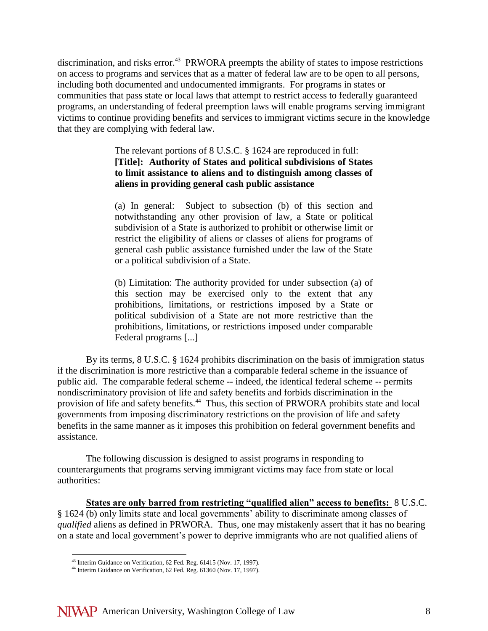discrimination, and risks error.<sup>43</sup> PRWORA preempts the ability of states to impose restrictions on access to programs and services that as a matter of federal law are to be open to all persons, including both documented and undocumented immigrants. For programs in states or communities that pass state or local laws that attempt to restrict access to federally guaranteed programs, an understanding of federal preemption laws will enable programs serving immigrant victims to continue providing benefits and services to immigrant victims secure in the knowledge that they are complying with federal law.

> The relevant portions of 8 U.S.C. § 1624 are reproduced in full: **[Title]: Authority of States and political subdivisions of States to limit assistance to aliens and to distinguish among classes of aliens in providing general cash public assistance**

> (a) In general: Subject to subsection (b) of this section and notwithstanding any other provision of law, a State or political subdivision of a State is authorized to prohibit or otherwise limit or restrict the eligibility of aliens or classes of aliens for programs of general cash public assistance furnished under the law of the State or a political subdivision of a State.

> (b) Limitation: The authority provided for under subsection (a) of this section may be exercised only to the extent that any prohibitions, limitations, or restrictions imposed by a State or political subdivision of a State are not more restrictive than the prohibitions, limitations, or restrictions imposed under comparable Federal programs [...]

By its terms, 8 U.S.C. § 1624 prohibits discrimination on the basis of immigration status if the discrimination is more restrictive than a comparable federal scheme in the issuance of public aid. The comparable federal scheme -- indeed, the identical federal scheme -- permits nondiscriminatory provision of life and safety benefits and forbids discrimination in the provision of life and safety benefits.<sup>44</sup> Thus, this section of PRWORA prohibits state and local governments from imposing discriminatory restrictions on the provision of life and safety benefits in the same manner as it imposes this prohibition on federal government benefits and assistance.

The following discussion is designed to assist programs in responding to counterarguments that programs serving immigrant victims may face from state or local authorities:

**States are only barred from restricting "qualified alien" access to benefits:** 8 U.S.C. § 1624 (b) only limits state and local governments' ability to discriminate among classes of *qualified* aliens as defined in PRWORA. Thus, one may mistakenly assert that it has no bearing on a state and local government's power to deprive immigrants who are not qualified aliens of

<sup>&</sup>lt;sup>43</sup> Interim Guidance on Verification, 62 Fed. Reg. 61415 (Nov. 17, 1997).

<sup>44</sup> Interim Guidance on Verification, 62 Fed. Reg. 61360 (Nov. 17, 1997).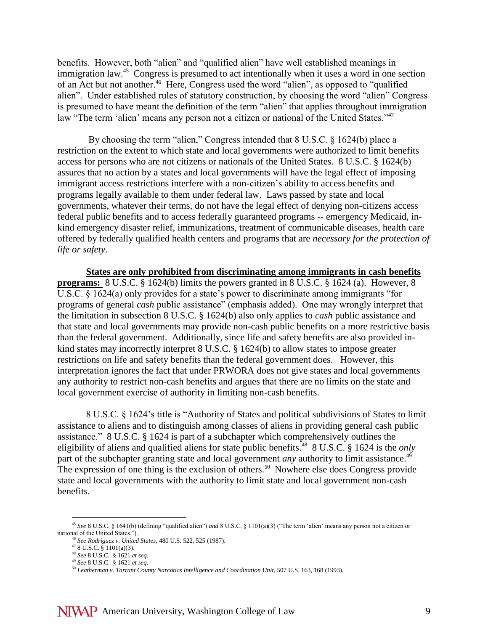benefits. However, both "alien" and "qualified alien" have well established meanings in immigration law.<sup>45</sup> Congress is presumed to act intentionally when it uses a word in one section of an Act but not another.<sup>46</sup> Here, Congress used the word "alien", as opposed to "qualified alien". Under established rules of statutory construction, by choosing the word "alien" Congress is presumed to have meant the definition of the term "alien" that applies throughout immigration law "The term 'alien' means any person not a citizen or national of the United States."<sup>47</sup>

By choosing the term "alien," Congress intended that 8 U.S.C. § 1624(b) place a restriction on the extent to which state and local governments were authorized to limit benefits access for persons who are not citizens or nationals of the United States. 8 U.S.C. § 1624(b) assures that no action by a states and local governments will have the legal effect of imposing immigrant access restrictions interfere with a non-citizen's ability to access benefits and programs legally available to them under federal law. Laws passed by state and local governments, whatever their terms, do not have the legal effect of denying non-citizens access federal public benefits and to access federally guaranteed programs -- emergency Medicaid, inkind emergency disaster relief, immunizations, treatment of communicable diseases, health care offered by federally qualified health centers and programs that are *necessary for the protection of life or safety*.

**States are only prohibited from discriminating among immigrants in cash benefits programs:** 8 U.S.C. § 1624(b) limits the powers granted in 8 U.S.C. § 1624 (a). However, 8 U.S.C. § 1624(a) only provides for a state's power to discriminate among immigrants "for programs of general *cash* public assistance" (emphasis added). One may wrongly interpret that the limitation in subsection 8 U.S.C. § 1624(b) also only applies to *cash* public assistance and that state and local governments may provide non-cash public benefits on a more restrictive basis than the federal government. Additionally, since life and safety benefits are also provided inkind states may incorrectly interpret 8 U.S.C. § 1624(b) to allow states to impose greater restrictions on life and safety benefits than the federal government does. However, this interpretation ignores the fact that under PRWORA does not give states and local governments any authority to restrict non-cash benefits and argues that there are no limits on the state and local government exercise of authority in limiting non-cash benefits.

8 U.S.C. § 1624's title is "Authority of States and political subdivisions of States to limit assistance to aliens and to distinguish among classes of aliens in providing general cash public assistance." 8 U.S.C. § 1624 is part of a subchapter which comprehensively outlines the eligibility of aliens and qualified aliens for state public benefits.<sup>48</sup> 8 U.S.C. § 1624 is the *only* part of the subchapter granting state and local government *any* authority to limit assistance.<sup>49</sup> The expression of one thing is the exclusion of others.<sup>50</sup> Nowhere else does Congress provide state and local governments with the authority to limit state and local government non-cash benefits.

<sup>45</sup> *See* 8 U.S.C. § 1641(b) (defining "qualified alien") *and* 8 U.S.C. § 1101(a)(3) ("The term 'alien' means any person not a citizen or national of the United States.").

<sup>46</sup> *See Rodriguez v. United States*, 480 U.S. 522, 525 (1987).

 $478$  U.S.C.  $\frac{8}{9}$  1101(a)(3).

<sup>48</sup> *See* 8 U.S.C. § 1621 *et seq*.

<sup>49</sup> *See* 8 U.S.C. § 1621 *et seq*.

<sup>50</sup> *Leatherman v. Tarrant County Narcotics Intelligence and Coordination Unit*, 507 U.S. 163, 168 (1993).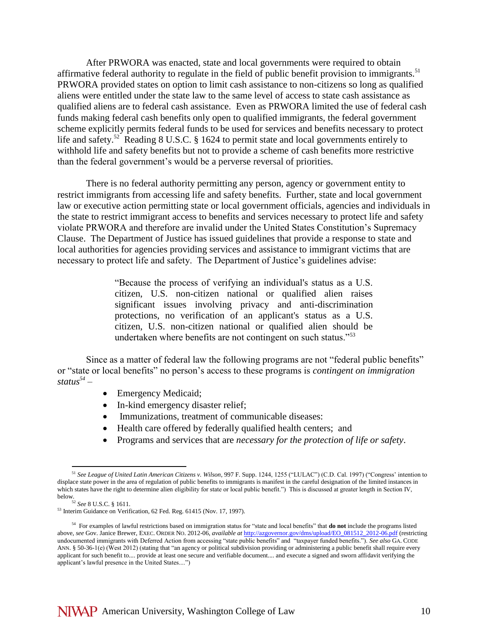After PRWORA was enacted, state and local governments were required to obtain affirmative federal authority to regulate in the field of public benefit provision to immigrants.<sup>51</sup> PRWORA provided states on option to limit cash assistance to non-citizens so long as qualified aliens were entitled under the state law to the same level of access to state cash assistance as qualified aliens are to federal cash assistance. Even as PRWORA limited the use of federal cash funds making federal cash benefits only open to qualified immigrants, the federal government scheme explicitly permits federal funds to be used for services and benefits necessary to protect life and safety.<sup>52</sup> Reading 8 U.S.C. § 1624 to permit state and local governments entirely to withhold life and safety benefits but not to provide a scheme of cash benefits more restrictive than the federal government's would be a perverse reversal of priorities.

There is no federal authority permitting any person, agency or government entity to restrict immigrants from accessing life and safety benefits. Further, state and local government law or executive action permitting state or local government officials, agencies and individuals in the state to restrict immigrant access to benefits and services necessary to protect life and safety violate PRWORA and therefore are invalid under the United States Constitution's Supremacy Clause. The Department of Justice has issued guidelines that provide a response to state and local authorities for agencies providing services and assistance to immigrant victims that are necessary to protect life and safety. The Department of Justice's guidelines advise:

> "Because the process of verifying an individual's status as a U.S. citizen, U.S. non-citizen national or qualified alien raises significant issues involving privacy and anti-discrimination protections, no verification of an applicant's status as a U.S. citizen, U.S. non-citizen national or qualified alien should be undertaken where benefits are not contingent on such status."<sup>53</sup>

Since as a matter of federal law the following programs are not "federal public benefits" or "state or local benefits" no person's access to these programs is *contingent on immigration status<sup>54</sup> –*

- Emergency Medicaid;
- In-kind emergency disaster relief;
- Immunizations, treatment of communicable diseases:
- Health care offered by federally qualified health centers; and
- Programs and services that are *necessary for the protection of life or safety*.

<sup>51</sup> *See League of United Latin American Citizens v. Wilson*, 997 F. Supp. 1244, 1255 ("LULAC") (C.D. Cal. 1997) ("Congress' intention to displace state power in the area of regulation of public benefits to immigrants is manifest in the careful designation of the limited instances in which states have the right to determine alien eligibility for state or local public benefit.") This is discussed at greater length in Section IV, below.

<sup>52</sup> *See* 8 U.S.C. § 1611. <sup>53</sup> Interim Guidance on Verification, 62 Fed. Reg. 61415 (Nov. 17, 1997).

<sup>54</sup> For examples of lawful restrictions based on immigration status for "state and local benefits" that **do not** include the programs listed above, *see* Gov. Janice Brewer, EXEC. ORDER NO. 2012-06, *available at* [http://azgovernor.gov/dms/upload/EO\\_081512\\_2012-06.pdf](http://azgovernor.gov/dms/upload/EO_081512_2012-06.pdf) (restricting undocumented immigrants with Deferred Action from accessing "state public benefits" and "taxpayer funded benefits."). *See also* GA. CODE ANN. § 50-36-1(e) (West 2012) (stating that "an agency or political subdivision providing or administering a public benefit shall require every applicant for such benefit to.... provide at least one secure and verifiable document.... and execute a signed and sworn affidavit verifying the applicant's lawful presence in the United States....")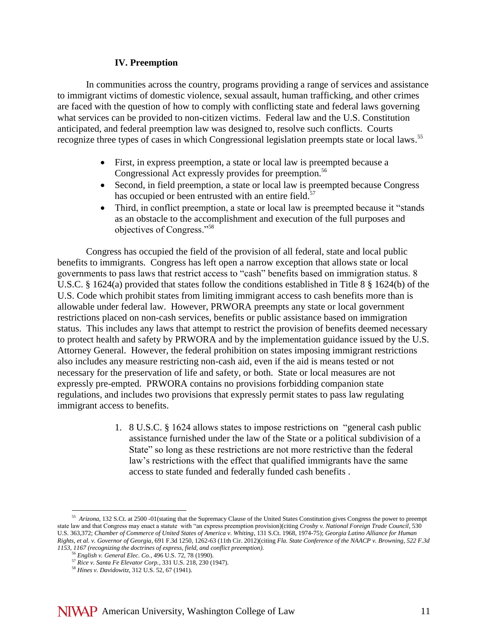#### **IV. Preemption**

In communities across the country, programs providing a range of services and assistance to immigrant victims of domestic violence, sexual assault, human trafficking, and other crimes are faced with the question of how to comply with conflicting state and federal laws governing what services can be provided to non-citizen victims. Federal law and the U.S. Constitution anticipated, and federal preemption law was designed to, resolve such conflicts. Courts recognize three types of cases in which Congressional legislation preempts state or local laws.<sup>55</sup>

- First, in express preemption, a state or local law is preempted because a Congressional Act expressly provides for preemption.<sup>56</sup>
- Second, in field preemption, a state or local law is preempted because Congress has occupied or been entrusted with an entire field.<sup>57</sup>
- Third, in conflict preemption, a state or local law is preempted because it "stands" as an obstacle to the accomplishment and execution of the full purposes and objectives of Congress."<sup>58</sup>

Congress has occupied the field of the provision of all federal, state and local public benefits to immigrants. Congress has left open a narrow exception that allows state or local governments to pass laws that restrict access to "cash" benefits based on immigration status. 8 U.S.C. § 1624(a) provided that states follow the conditions established in Title 8 § 1624(b) of the U.S. Code which prohibit states from limiting immigrant access to cash benefits more than is allowable under federal law. However, PRWORA preempts any state or local government restrictions placed on non-cash services, benefits or public assistance based on immigration status. This includes any laws that attempt to restrict the provision of benefits deemed necessary to protect health and safety by PRWORA and by the implementation guidance issued by the U.S. Attorney General. However, the federal prohibition on states imposing immigrant restrictions also includes any measure restricting non-cash aid, even if the aid is means tested or not necessary for the preservation of life and safety, or both. State or local measures are not expressly pre-empted. PRWORA contains no provisions forbidding companion state regulations, and includes two provisions that expressly permit states to pass law regulating immigrant access to benefits.

> 1. 8 U.S.C. § 1624 allows states to impose restrictions on "general cash public assistance furnished under the law of the State or a political subdivision of a State" so long as these restrictions are not more restrictive than the federal law's restrictions with the effect that qualified immigrants have the same access to state funded and federally funded cash benefits .

<sup>55</sup> *Arizona*, 132 S.Ct. at 2500 -01(stating that the Supremacy Clause of the United States Constitution gives Congress the power to preempt state law and that Congress may enact a statute with "an express preemption provision)(citing *Crosby v. National Foreign Trade Council*, 530 U.S. 363,372; *Chamber of Commerce of United States of America v. Whiting*, 131 S.Ct. 1968, 1974-75); *Georgia Latino Alliance for Human Rights, et al. v. Governor of Georgia*, 691 F.3d 1250, 1262-63 (11th Cir. 2012)(citing *Fla. State Conference of the NAACP v. Browning, 522 F.3d 1153, 1167 (recognizing the doctrines of express, field, and conflict preemption).*

<sup>56</sup> *English v. General Elec. Co.*, 496 U.S. 72, 78 (1990).

<sup>57</sup> *Rice v. Santa Fe Elevator Corp.*, 331 U.S. 218, 230 (1947).

<sup>58</sup> *Hines v. Davidowitz*, 312 U.S. 52, 67 (1941).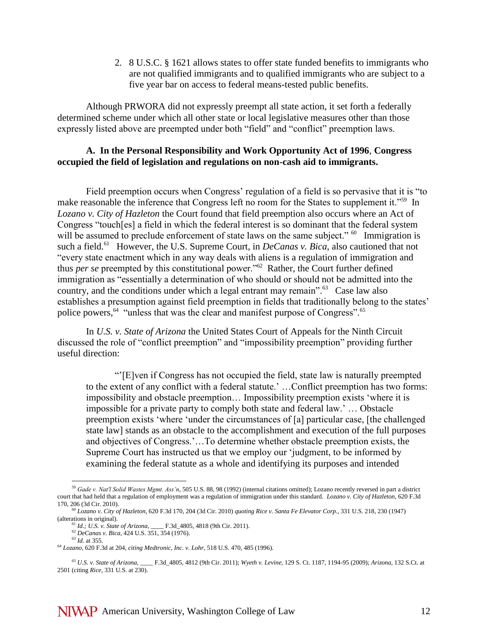2. 8 U.S.C. § 1621 allows states to offer state funded benefits to immigrants who are not qualified immigrants and to qualified immigrants who are subject to a five year bar on access to federal means-tested public benefits.

Although PRWORA did not expressly preempt all state action, it set forth a federally determined scheme under which all other state or local legislative measures other than those expressly listed above are preempted under both "field" and "conflict" preemption laws.

#### **A. In the Personal Responsibility and Work Opportunity Act of 1996**, **Congress occupied the field of legislation and regulations on non-cash aid to immigrants.**

Field preemption occurs when Congress' regulation of a field is so pervasive that it is "to make reasonable the inference that Congress left no room for the States to supplement it."<sup>59</sup> In *Lozano v. City of Hazleton* the Court found that field preemption also occurs where an Act of Congress "touch[es] a field in which the federal interest is so dominant that the federal system will be assumed to preclude enforcement of state laws on the same subject."  $60$  Immigration is such a field.<sup>61</sup> However, the U.S. Supreme Court, in *DeCanas v. Bica*, also cautioned that not "every state enactment which in any way deals with aliens is a regulation of immigration and thus *per se* preempted by this constitutional power."<sup>62</sup> Rather, the Court further defined immigration as "essentially a determination of who should or should not be admitted into the country, and the conditions under which a legal entrant may remain". $^{63}$  Case law also establishes a presumption against field preemption in fields that traditionally belong to the states' police powers,<sup>64</sup> "unless that was the clear and manifest purpose of Congress".<sup>65</sup>

In *U.S. v. State of Arizona* the United States Court of Appeals for the Ninth Circuit discussed the role of "conflict preemption" and "impossibility preemption" providing further useful direction:

"'[E]ven if Congress has not occupied the field, state law is naturally preempted to the extent of any conflict with a federal statute.' …Conflict preemption has two forms: impossibility and obstacle preemption… Impossibility preemption exists 'where it is impossible for a private party to comply both state and federal law.' … Obstacle preemption exists 'where 'under the circumstances of [a] particular case, [the challenged state law] stands as an obstacle to the accomplishment and execution of the full purposes and objectives of Congress.'…To determine whether obstacle preemption exists, the Supreme Court has instructed us that we employ our 'judgment, to be informed by examining the federal statute as a whole and identifying its purposes and intended

<sup>62</sup> *DeCanas v. Bica*, 424 U.S. 351, 354 (1976).

<sup>59</sup> *Gade v. Nat'l Solid Wastes Mgmt. Ass'n*, 505 U.S. 88, 98 (1992) (internal citations omitted); Lozano recently reversed in part a district court that had held that a regulation of employment was a regulation of immigration under this standard. *Lozano v. City of Hazleton*, 620 F.3d 170, 206 (3d Cir. 2010).

<sup>60</sup> *Lozano v. City of Hazleton*, 620 F.3d 170, 204 (3d Cir. 2010) *quoting Rice v. Santa Fe Elevator Corp.,* 331 U.S. 218, 230 (1947) (alterations in original).<br><sup>61</sup> *Id.*; *U.S. v. State of Arizona*,

<sup>61</sup> *Id.; U.S. v. State of Arizona,* \_\_\_\_ F.3d\_4805, 4818 (9th Cir. 2011).

<sup>63</sup> *Id.* at 355.

<sup>64</sup> *Lozano*, 620 F.3d at 204, *citing Medtronic, Inc. v. Lohr,* 518 U.S. 470, 485 (1996).

<sup>65</sup> *U.S. v. State of Arizona,* \_\_\_\_ F.3d\_4805, 4812 (9th Cir. 2011); *Wyeth v. Levine*, 129 S. Ct. 1187, 1194-95 (2009); *Arizona*, 132 S.Ct. at 2501 (citing *Rice*, 331 U.S. at 230).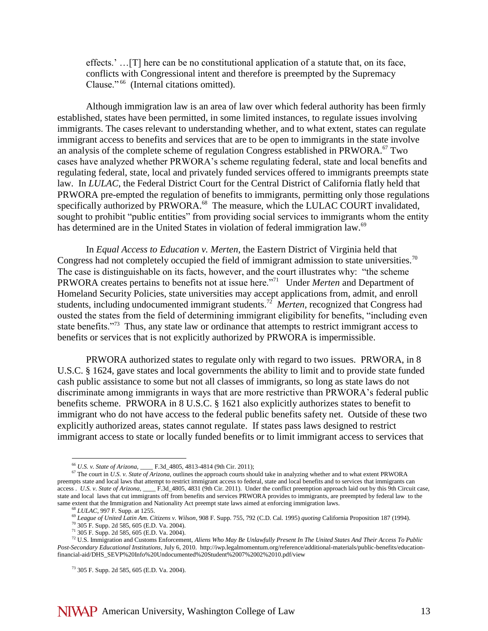effects.' …[T] here can be no constitutional application of a statute that, on its face, conflicts with Congressional intent and therefore is preempted by the Supremacy Clause."<sup>66</sup> (Internal citations omitted).

Although immigration law is an area of law over which federal authority has been firmly established, states have been permitted, in some limited instances, to regulate issues involving immigrants. The cases relevant to understanding whether, and to what extent, states can regulate immigrant access to benefits and services that are to be open to immigrants in the state involve an analysis of the complete scheme of regulation Congress established in PRWORA.<sup>67</sup> Two cases have analyzed whether PRWORA's scheme regulating federal, state and local benefits and regulating federal, state, local and privately funded services offered to immigrants preempts state law. In *LULAC*, the Federal District Court for the Central District of California flatly held that PRWORA pre-empted the regulation of benefits to immigrants, permitting only those regulations specifically authorized by PRWORA.<sup>68</sup> The measure, which the LULAC COURT invalidated, sought to prohibit "public entities" from providing social services to immigrants whom the entity has determined are in the United States in violation of federal immigration law.<sup>69</sup>

In *Equal Access to Education v. Merten*, the Eastern District of Virginia held that Congress had not completely occupied the field of immigrant admission to state universities.<sup>70</sup> The case is distinguishable on its facts, however, and the court illustrates why: "the scheme PRWORA creates pertains to benefits not at issue here.<sup>"71</sup> Under *Merten* and Department of Homeland Security Policies, state universities may accept applications from, admit, and enroll students, including undocumented immigrant students.<sup>72</sup> Merten, recognized that Congress had ousted the states from the field of determining immigrant eligibility for benefits, "including even state benefits."<sup>73</sup> Thus, any state law or ordinance that attempts to restrict immigrant access to benefits or services that is not explicitly authorized by PRWORA is impermissible.

PRWORA authorized states to regulate only with regard to two issues. PRWORA, in 8 U.S.C. § 1624, gave states and local governments the ability to limit and to provide state funded cash public assistance to some but not all classes of immigrants, so long as state laws do not discriminate among immigrants in ways that are more restrictive than PRWORA's federal public benefits scheme. PRWORA in 8 U.S.C. § 1621 also explicitly authorizes states to benefit to immigrant who do not have access to the federal public benefits safety net. Outside of these two explicitly authorized areas, states cannot regulate. If states pass laws designed to restrict immigrant access to state or locally funded benefits or to limit immigrant access to services that

<sup>66</sup> *U.S. v. State of Arizona,* \_\_\_\_ F.3d\_4805, 4813-4814 (9th Cir. 2011);

<sup>&</sup>lt;sup>67</sup> The court in *U.S. v. State of Arizona*, outlines the approach courts should take in analyzing whether and to what extent PRWORA preempts state and local laws that attempt to restrict immigrant access to federal, state and local benefits and to services that immigrants can access . *U.S. v. State of Arizona*, \_\_\_\_ F.3d\_4805, 4831 (9th Cir. 2011). Under the conflict preemption approach laid out by this 9th Circuit case, state and local laws that cut immigrants off from benefits and services PRWORA provides to immigrants, are preempted by federal law to the same extent that the Immigration and Nationality Act preempt state laws aimed at enforcing immigration laws.

<sup>68</sup> *LULAC*, 997 F. Supp. at 1255.

<sup>69</sup> *League of United Latin Am. Citizens v. Wilson*, 908 F. Supp. 755, 792 (C.D. Cal. 1995) *quoting* California Proposition 187 (1994).

 $70$  305 F. Supp. 2d 585, 605 (E.D. Va. 2004).

 $71$  305 F. Supp. 2d 585, 605 (E.D. Va. 2004).

<sup>72</sup> U.S. Immigration and Customs Enforcement, *Aliens Who May Be Unlawfully Present In The United States And Their Access To Public Post-Secondary Educational Institutions*, July 6, 2010. http://iwp.legalmomentum.org/reference/additional-materials/public-benefits/educationfinancial-aid/DHS\_SEVP%20Info%20Undocumented%20Student%2007%2002%2010.pdf/view

<sup>73</sup> 305 F. Supp. 2d 585, 605 (E.D. Va. 2004).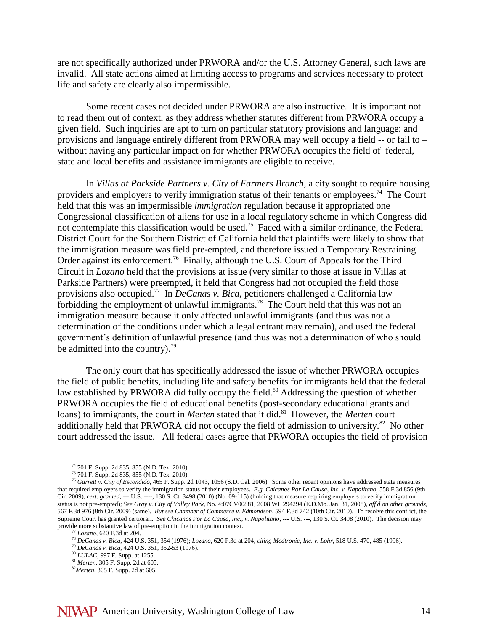are not specifically authorized under PRWORA and/or the U.S. Attorney General, such laws are invalid. All state actions aimed at limiting access to programs and services necessary to protect life and safety are clearly also impermissible.

Some recent cases not decided under PRWORA are also instructive. It is important not to read them out of context, as they address whether statutes different from PRWORA occupy a given field. Such inquiries are apt to turn on particular statutory provisions and language; and provisions and language entirely different from PRWORA may well occupy a field -- or fail to – without having any particular impact on for whether PRWORA occupies the field of federal, state and local benefits and assistance immigrants are eligible to receive.

In *Villas at Parkside Partners v. City of Farmers Branch*, a city sought to require housing providers and employers to verify immigration status of their tenants or employees.<sup>74</sup> The Court held that this was an impermissible *immigration* regulation because it appropriated one Congressional classification of aliens for use in a local regulatory scheme in which Congress did not contemplate this classification would be used.<sup>75</sup> Faced with a similar ordinance, the Federal District Court for the Southern District of California held that plaintiffs were likely to show that the immigration measure was field pre-empted, and therefore issued a Temporary Restraining Order against its enforcement.<sup>76</sup> Finally, although the U.S. Court of Appeals for the Third Circuit in *Lozano* held that the provisions at issue (very similar to those at issue in Villas at Parkside Partners) were preempted, it held that Congress had not occupied the field those provisions also occupied.<sup>77</sup> In *DeCanas v. Bica*, petitioners challenged a California law forbidding the employment of unlawful immigrants.<sup>78</sup> The Court held that this was not an immigration measure because it only affected unlawful immigrants (and thus was not a determination of the conditions under which a legal entrant may remain), and used the federal government's definition of unlawful presence (and thus was not a determination of who should be admitted into the country). $^{79}$ 

The only court that has specifically addressed the issue of whether PRWORA occupies the field of public benefits, including life and safety benefits for immigrants held that the federal law established by PRWORA did fully occupy the field.<sup>80</sup> Addressing the question of whether PRWORA occupies the field of educational benefits (post-secondary educational grants and loans) to immigrants, the court in *Merten* stated that it did.<sup>81</sup> However, the *Merten* court additionally held that PRWORA did not occupy the field of admission to university. $82$  No other court addressed the issue. All federal cases agree that PRWORA occupies the field of provision

<sup>74</sup> 701 F. Supp. 2d 835, 855 (N.D. Tex. 2010).

 $^{75}$  701 F. Supp. 2d 835, 855 (N.D. Tex. 2010).

<sup>&</sup>lt;sup>76</sup> Garrett v. City of Escondido, 465 F. Supp. 2d 1043, 1056 (S.D. Cal. 2006). Some other recent opinions have addressed state measures that required employers to verify the immigration status of their employees. *E.g. Chicanos Por La Causa, Inc. v. Napolitano,* 558 F.3d 856 (9th Cir. 2009), *cert. granted,* --- U.S. ----, 130 S. Ct. 3498 (2010) (No. 09-115) (holding that measure requiring employers to verify immigration status is not pre-empted); *See Gray v. City of Valley Park,* No. 4:07CV00881, 2008 WL 294294 (E.D.Mo. Jan. 31, 2008), *aff'd on other grounds,* 567 F.3d 976 (8th Cir. 2009) (same). *But see Chamber of Commerce v. Edmondson,* 594 F.3d 742 (10th Cir. 2010). To resolve this conflict, the Supreme Court has granted certiorari. *See Chicanos Por La Causa, Inc., v. Napolitano*, --- U.S. ---, 130 S. Ct. 3498 (2010). The decision may provide more substantive law of pre-emption in the immigration context.

*Lozano*, 620 F.3d at 204.

<sup>78</sup> *DeCanas v. Bica*, 424 U.S. 351, 354 (1976); *Lozano*, 620 F.3d at 204, *citing Medtronic, Inc. v. Lohr,* 518 U.S. 470, 485 (1996).

<sup>79</sup> *DeCanas v. Bica*, 424 U.S. 351, 352-53 (1976).

<sup>80</sup> *LULAC*, 997 F. Supp. at 1255.

<sup>81</sup> *Merten*, 305 F. Supp. 2d at 605.

<sup>82</sup>*Merten*, 305 F. Supp. 2d at 605.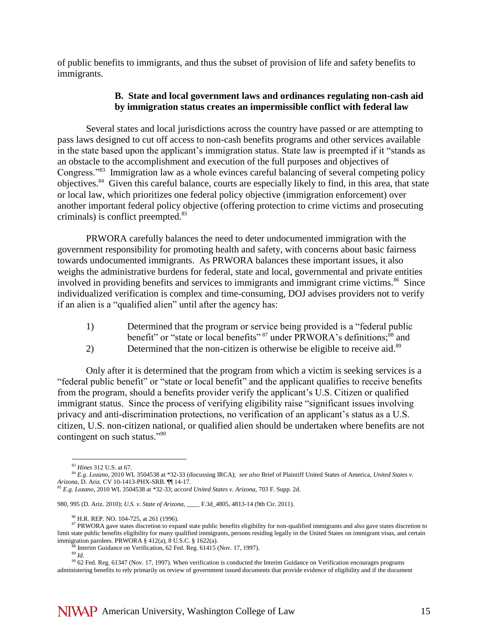of public benefits to immigrants, and thus the subset of provision of life and safety benefits to immigrants.

#### **B. State and local government laws and ordinances regulating non-cash aid by immigration status creates an impermissible conflict with federal law**

Several states and local jurisdictions across the country have passed or are attempting to pass laws designed to cut off access to non-cash benefits programs and other services available in the state based upon the applicant's immigration status. State law is preempted if it "stands as an obstacle to the accomplishment and execution of the full purposes and objectives of Congress."<sup>83</sup> Immigration law as a whole evinces careful balancing of several competing policy objectives.<sup>84</sup> Given this careful balance, courts are especially likely to find, in this area, that state or local law, which prioritizes one federal policy objective (immigration enforcement) over another important federal policy objective (offering protection to crime victims and prosecuting criminals) is conflict preempted.<sup>85</sup>

PRWORA carefully balances the need to deter undocumented immigration with the government responsibility for promoting health and safety, with concerns about basic fairness towards undocumented immigrants. As PRWORA balances these important issues, it also weighs the administrative burdens for federal, state and local, governmental and private entities involved in providing benefits and services to immigrants and immigrant crime victims.<sup>86</sup> Since individualized verification is complex and time-consuming, DOJ advises providers not to verify if an alien is a "qualified alien" until after the agency has:

- 1) Determined that the program or service being provided is a "federal public benefit" or "state or local benefits"  $87 \text{ under } PRWORA$ 's definitions;  $88 \text{ and }$
- 2) Determined that the non-citizen is otherwise be eligible to receive aid.<sup>89</sup>

Only after it is determined that the program from which a victim is seeking services is a "federal public benefit" or "state or local benefit" and the applicant qualifies to receive benefits from the program, should a benefits provider verify the applicant's U.S. Citizen or qualified immigrant status. Since the process of verifying eligibility raise "significant issues involving privacy and anti-discrimination protections, no verification of an applicant's status as a U.S. citizen, U.S. non-citizen national, or qualified alien should be undertaken where benefits are not contingent on such status."<sup>90</sup>

980, 995 (D. Ariz. 2010); *U.S. v. State of Arizona,* \_\_\_\_ F.3d\_4805, 4813-14 (9th Cir. 2011).

 $\overline{a}$ <sup>83</sup> *Hines* 312 U.S. at 67.

<sup>84</sup> *E.g. Lozano*, 2010 WL 3504538 at \*32-33 (discussing IRCA); *see also* Brief of Plaintiff United States of America, *United States v. Arizona*, D. Ariz. CV 10-1413-PHX-SRB. ¶¶ 14-17.

<sup>85</sup> *E.g. Lozano*, 2010 WL 3504538 at \*32-33; *accord United States v. Arizona*, 703 F. Supp. 2d.

<sup>86</sup> H.R. REP. NO. 104-725, at 261 (1996).

<sup>87</sup> PRWORA gave states discretion to expand state public benefits eligibility for non-qualified immigrants and also gave states discretion to limit state public benefits eligibility for many qualified immigrants, persons residing legally in the United States on immigrant visas, and certain immigration parolees. PRWORA § 412(a), 8 U.S.C. § 1622(a).

 $8<sup>8</sup>$  Interim Guidance on Verification, 62 Fed. Reg. 61415 (Nov. 17, 1997).  $rac{89}{89}$  *Id.* 

<sup>&</sup>lt;sup>90</sup> 62 Fed. Reg. 61347 (Nov. 17, 1997). When verification is conducted the Interim Guidance on Verification encourages programs administering benefits to rely primarily on review of government issued documents that provide evidence of eligibility and if the document